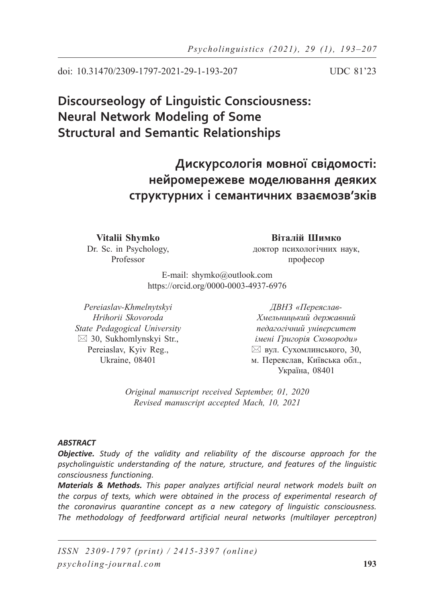doi: 10.31470/2309-1797-2021-29-1-193-207 UDC 81'23

# **Discourseology of Linguistic Consciousness: Neural Network Modeling of Some Structural and Semantic Relationships**

**Дискурсологія мовної свідомості: нейромережеве моделювання деяких структурних і семантичних взаємозв'зків**

**Vitalii Shymko** Dr. Sc. in Psychology, Professor

**Віталій Шимко** доктор психологічних наук, професор

E-mail: shymko@outlook.com https://orcid.org/0000-0003-4937-6976

*Pereiaslav-Khmelnytskyi Hrihorii Skovoroda State Pedagogical University*  $\boxtimes$  30, Sukhomlynskyi Str., Pereiaslav, Kyiv Reg., Ukraine, 08401

*ДВНЗ «Переяслав-Хмельницький державний педагогічний університет імені Григорія Сковороди»*  $\boxtimes$  вул. Сухомлинського, 30, м. Переяслав, Київська обл., Україна, 08401

*Original manuscript received September, 01, 2020 Revised manuscript accepted Mach, 10, 2021*

### *ABSTRACT*

*Objective. Study of the validity and reliability of the discourse approach for the psycholinguistic understanding of the nature, structure, and features of the linguistic consciousness functioning.*

*Materials & Methods. This paper analyzes artificial neural network models built on the corpus of texts, which were obtained in the process of experimental research of the coronavirus quarantine concept as a new category of linguistic consciousness.*  The methodology of feedforward artificial neural networks (multilayer perceptron)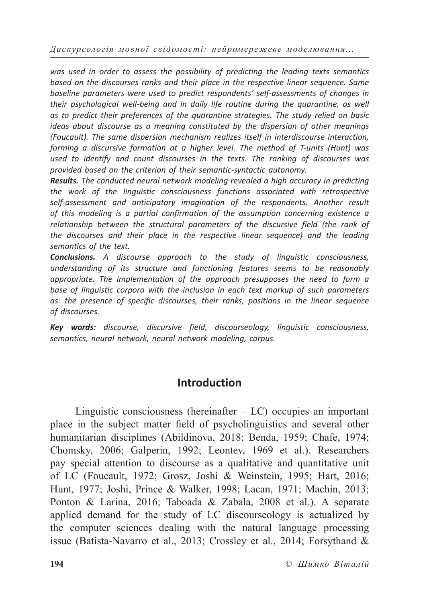*was used in order to assess the possibility of predicting the leading texts semantics based on the discourses ranks and their place in the respective linear sequence. Same baseline parameters were used to predict respondents' self-assessments of changes in their psychological well-being and in daily life routine during the quarantine, as well as to predict their preferences of the quarantine strategies. The study relied on basic ideas about discourse as a meaning constituted by the dispersion of other meanings (Foucault). The same dispersion mechanism realizes itself in interdiscourse interaction, forming a discursive formation at a higher level. The method of T-units (Hunt) was used to identify and count discourses in the texts. The ranking of discourses was provided based on the criterion of their semantic-syntactic autonomy.*

*Results. The conducted neural network modeling revealed a high accuracy in predicting the work of the linguistic consciousness functions associated with retrospective self-assessment and anticipatory imagination of the respondents. Another result of this modeling is a partial confirmation of the assumption concerning existence a relationship between the structural parameters of the discursive field (the rank of the discourses and their place in the respective linear sequence) and the leading semantics of the text.*

*Conclusions. A discourse approach to the study of linguistic consciousness, understanding of its structure and functioning features seems to be reasonably appropriate. The implementation of the approach presupposes the need to form a base of linguistic corpora with the inclusion in each text markup of such parameters as: the presence of specific discourses, their ranks, positions in the linear sequence of discourses.*

*Key words: discourse, discursive field, discourseology, linguistic consciousness, semantics, neural network, neural network modeling, corpus.*

### **Introduction**

Linguistic consciousness (hereinafter  $- LC$ ) occupies an important place in the subject matter field of psycholinguistics and several other humanitarian disciplines (Abildinova, 2018; Benda, 1959; Chafe, 1974; Chomsky, 2006; Galperin, 1992; Leontev, 1969 et al.). Researchers pay special attention to discourse as a qualitative and quantitative unit of LC (Foucault, 1972; Grosz, Joshi & Weinstein, 1995; Hart, 2016; Hunt, 1977; Joshi, Prince & Walker, 1998; Lacan, 1971; Machin, 2013; Ponton & Larina, 2016; Taboada & Zabala, 2008 et al.). A separate applied demand for the study of LC discourseology is actualized by the computer sciences dealing with the natural language processing issue (Batista-Navarro et al., 2013; Crossley et al., 2014; Forsythand &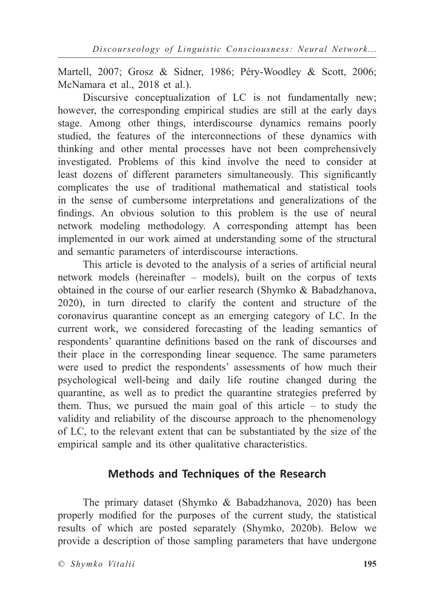Martell, 2007; Grosz & Sidner, 1986; Péry-Woodley & Scott, 2006; McNamara et al., 2018 et al.).

Discursive conceptualization of LC is not fundamentally new; however, the corresponding empirical studies are still at the early days stage. Among other things, interdiscourse dynamics remains poorly studied, the features of the interconnections of these dynamics with thinking and other mental processes have not been comprehensively investigated. Problems of this kind involve the need to consider at least dozens of different parameters simultaneously. This significantly complicates the use of traditional mathematical and statistical tools in the sense of cumbersome interpretations and generalizations of the findings. An obvious solution to this problem is the use of neural network modeling methodology. A corresponding attempt has been implemented in our work aimed at understanding some of the structural and semantic parameters of interdiscourse interactions.

This article is devoted to the analysis of a series of artificial neural network models (hereinafter – models), built on the corpus of texts obtained in the course of our earlier research (Shymko & Babadzhanova, 2020), in turn directed to clarify the content and structure of the coronavirus quarantine concept as an emerging category of LC. In the current work, we considered forecasting of the leading semantics of respondents' quarantine definitions based on the rank of discourses and their place in the corresponding linear sequence. The same parameters were used to predict the respondents' assessments of how much their psychological well-being and daily life routine changed during the quarantine, as well as to predict the quarantine strategies preferred by them. Thus, we pursued the main goal of this article – to study the validity and reliability of the discourse approach to the phenomenology of LC, to the relevant extent that can be substantiated by the size of the empirical sample and its other qualitative characteristics.

## **Methods and Techniques of the Research**

The primary dataset (Shymko & Babadzhanova, 2020) has been properly modified for the purposes of the current study, the statistical results of which are posted separately (Shymko, 2020b). Below we provide a description of those sampling parameters that have undergone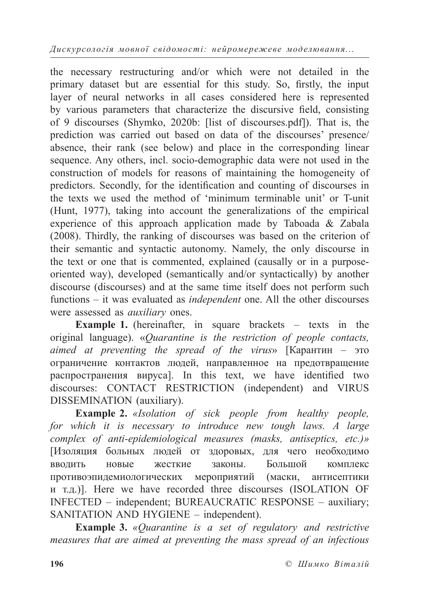the necessary restructuring and/or which were not detailed in the primary dataset but are essential for this study. So, firstly, the input layer of neural networks in all cases considered here is represented by various parameters that characterize the discursive field, consisting of 9 discourses (Shymko, 2020b: [list of discourses.pdf]). That is, the prediction was carried out based on data of the discourses' presence/ absence, their rank (see below) and place in the corresponding linear sequence. Any others, incl. socio-demographic data were not used in the construction of models for reasons of maintaining the homogeneity of predictors. Secondly, for the identification and counting of discourses in the texts we used the method of 'minimum terminable unit' or T-unit (Hunt, 1977), taking into account the generalizations of the empirical experience of this approach application made by Taboada & Zabala (2008). Thirdly, the ranking of discourses was based on the criterion of their semantic and syntactic autonomy. Namely, the only discourse in the text or one that is commented, explained (causally or in a purposeoriented way), developed (semantically and/or syntactically) by another discourse (discourses) and at the same time itself does not perform such functions – it was evaluated as *independent* one. All the other discourses were assessed as *auxiliary* ones.

**Example 1.** (hereinafter, in square brackets – texts in the original language). «*Quarantine is the restriction of people contacts, aimed at preventing the spread of the virus*» [Карантин – это ограничение контактов людей, направленное на предотвращение распространения вируса]. In this text, we have identified two discourses: CONTACT RESTRICTION (independent) and VIRUS DISSEMINATION (auxiliary).

**Example 2.** *«Isolation of sick people from healthy people, for which it is necessary to introduce new tough laws. A large complex of anti-epidemiological measures (masks, antiseptics, etc.)»* [Изоляция больных людей от здоровых, для чего необходимо вводить новые жесткие законы. Большой комплекс противоэпидемиологических мероприятий (маски, антисептики и т.д.)]. Here we have recorded three discourses (ISOLATION OF INFECTED – independent; BUREAUCRATIC RESPONSE – auxiliary; SANITATION AND HYGIENE – independent).

**Example 3.** *«Quarantine is a set of regulatory and restrictive measures that are aimed at preventing the mass spread of an infectious*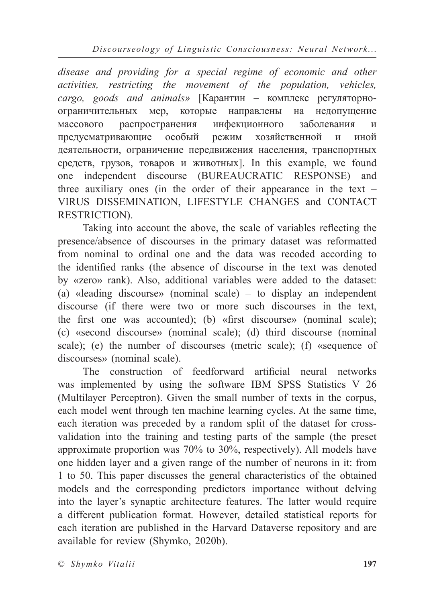*Discourseology of Linguistic Consciousness: Neural Network...*

*disease and providing for a special regime of economic and other activities, restricting the movement of the population, vehicles, cargo, goods and animals»* [Карантин – комплекс регуляторноограничительных мер, которые направлены на недопущение массового распространения инфекционного заболевания и предусматривающие особый режим хозяйственной и иной деятельности, ограничение передвижения населения, транспортных средств, грузов, товаров и животных]. In this example, we found one independent discourse (BUREAUCRATIC RESPONSE) and three auxiliary ones (in the order of their appearance in the text – VIRUS DISSEMINATION, LIFESTYLE CHANGES and CONTACT RESTRICTION).

Taking into account the above, the scale of variables reflecting the presence/absence of discourses in the primary dataset was reformatted from nominal to ordinal one and the data was recoded according to the identified ranks (the absence of discourse in the text was denoted by «zero» rank). Also, additional variables were added to the dataset: (a) «leading discourse» (nominal scale) – to display an independent discourse (if there were two or more such discourses in the text, the first one was accounted); (b) «first discourse» (nominal scale); (c) «second discourse» (nominal scale); (d) third discourse (nominal scale); (e) the number of discourses (metric scale); (f) «sequence of discourses» (nominal scale).

The construction of feedforward artificial neural networks was implemented by using the software IBM SPSS Statistics V 26 (Multilayer Perceptron). Given the small number of texts in the corpus, each model went through ten machine learning cycles. At the same time, each iteration was preceded by a random split of the dataset for crossvalidation into the training and testing parts of the sample (the preset approximate proportion was 70% to 30%, respectively). All models have one hidden layer and a given range of the number of neurons in it: from 1 to 50. This paper discusses the general characteristics of the obtained models and the corresponding predictors importance without delving into the layer's synaptic architecture features. The latter would require a different publication format. However, detailed statistical reports for each iteration are published in the Harvard Dataverse repository and are available for review (Shymko, 2020b).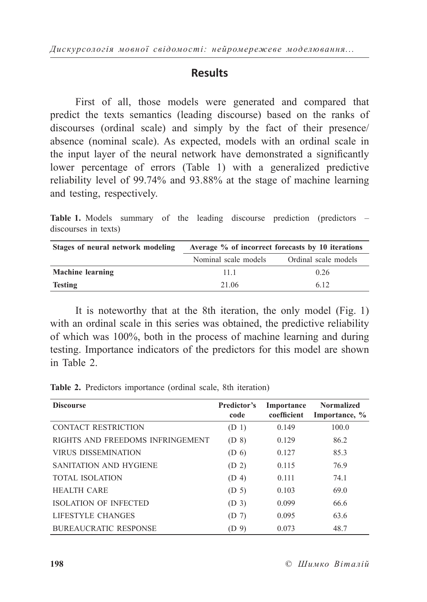### **Results**

First of all, those models were generated and compared that predict the texts semantics (leading discourse) based on the ranks of discourses (ordinal scale) and simply by the fact of their presence/ absence (nominal scale). As expected, models with an ordinal scale in the input layer of the neural network have demonstrated a significantly lower percentage of errors (Table 1) with a generalized predictive reliability level of 99.74% and 93.88% at the stage of machine learning and testing, respectively.

**Table 1.** Models summary of the leading discourse prediction (predictors – discourses in texts)

| Stages of neural network modeling | Average % of incorrect forecasts by 10 iterations |                      |  |  |
|-----------------------------------|---------------------------------------------------|----------------------|--|--|
|                                   | Nominal scale models                              | Ordinal scale models |  |  |
| <b>Machine learning</b>           | 11 1                                              | 0.26                 |  |  |
| Testing                           | 21 06                                             | 6.12                 |  |  |

It is noteworthy that at the 8th iteration, the only model (Fig. 1) with an ordinal scale in this series was obtained, the predictive reliability of which was 100%, both in the process of machine learning and during testing. Importance indicators of the predictors for this model are shown in Table 2.

**Discourse Predictor's code Importance coefficient Normalized Importance, %** CONTACT RESTRICTION (D 1) 0.149 100.0 RIGHTS AND FREEDOMS INFRINGEMENT (D 8) 0.129 86.2 VIRUS DISSEMINATION (D 6) 0.127 85.3 SANITATION AND HYGIENE (D 2) 0.115 76.9 TOTAL ISOLATION (D 4) 0.111 74.1 HEALTH CARE (D 5) 0.103 69.0 ISOLATION OF INFECTED (D 3) 0.099 66.6 LIFESTYLE CHANGES (D 7) 0.095 63.6 BUREAUCRATIC RESPONSE (D 9) 0.073 48.7

**Table 2.** Predictors importance (ordinal scale, 8th iteration)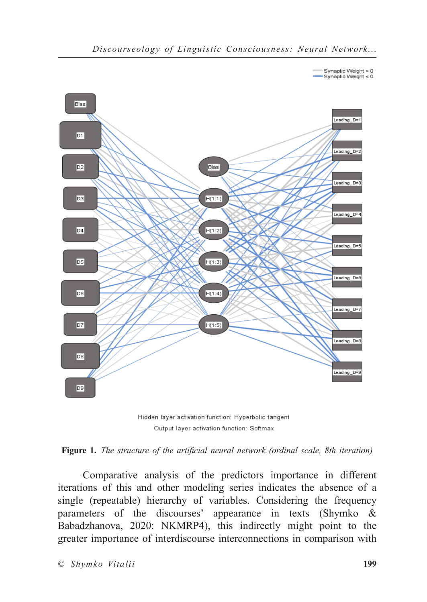

Hidden layer activation function: Hyperbolic tangent Output layer activation function: Softmax



Comparative analysis of the predictors importance in different iterations of this and other modeling series indicates the absence of a single (repeatable) hierarchy of variables. Considering the frequency parameters of the discourses' appearance in texts (Shymko & Babadzhanova, 2020: NKMRP4), this indirectly might point to the greater importance of interdiscourse interconnections in comparison with

Synaptic Weight > 0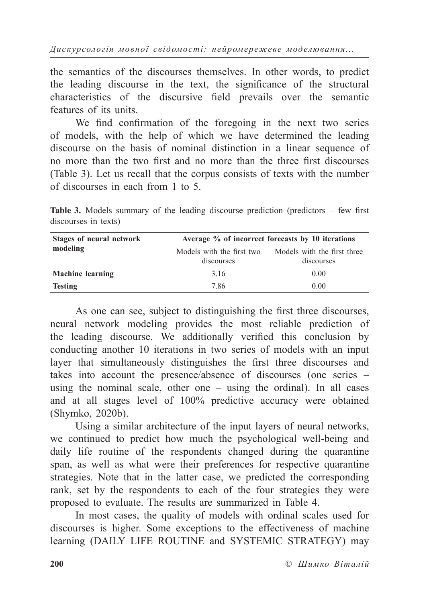the semantics of the discourses themselves. In other words, to predict the leading discourse in the text, the significance of the structural characteristics of the discursive field prevails over the semantic features of its units.

We find confirmation of the foregoing in the next two series of models, with the help of which we have determined the leading discourse on the basis of nominal distinction in a linear sequence of no more than the two first and no more than the three first discourses (Table 3). Let us recall that the corpus consists of texts with the number of discourses in each from 1 to 5.

**Table 3.** Models summary of the leading discourse prediction (predictors – few first discourses in texts)

| Stages of neural network | Average % of incorrect forecasts by 10 iterations |                             |  |
|--------------------------|---------------------------------------------------|-----------------------------|--|
| modeling                 | Models with the first two                         | Models with the first three |  |
|                          | discourses                                        | discourses                  |  |
| <b>Machine learning</b>  | 3.16                                              | 0.00                        |  |
| <b>Testing</b>           | 7.86                                              | 0.00                        |  |

As one can see, subject to distinguishing the first three discourses, neural network modeling provides the most reliable prediction of the leading discourse. We additionally verified this conclusion by conducting another 10 iterations in two series of models with an input layer that simultaneously distinguishes the first three discourses and takes into account the presence/absence of discourses (one series – using the nominal scale, other one – using the ordinal). In all cases and at all stages level of 100% predictive accuracy were obtained (Shymko, 2020b).

Using a similar architecture of the input layers of neural networks, we continued to predict how much the psychological well-being and daily life routine of the respondents changed during the quarantine span, as well as what were their preferences for respective quarantine strategies. Note that in the latter case, we predicted the corresponding rank, set by the respondents to each of the four strategies they were proposed to evaluate. The results are summarized in Table 4.

In most cases, the quality of models with ordinal scales used for discourses is higher. Some exceptions to the effectiveness of machine learning (DAILY LIFE ROUTINE and SYSTEMIC STRATEGY) may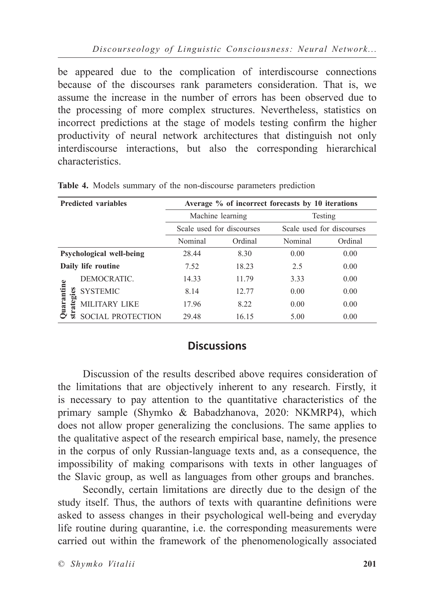be appeared due to the complication of interdiscourse connections because of the discourses rank parameters consideration. That is, we assume the increase in the number of errors has been observed due to the processing of more complex structures. Nevertheless, statistics on incorrect predictions at the stage of models testing confirm the higher productivity of neural network architectures that distinguish not only interdiscourse interactions, but also the corresponding hierarchical characteristics.

|                          | <b>Predicted variables</b> | Average % of incorrect forecasts by 10 iterations |         |         |                           |
|--------------------------|----------------------------|---------------------------------------------------|---------|---------|---------------------------|
|                          |                            | Machine learning                                  |         | Testing |                           |
|                          |                            | Scale used for discourses                         |         |         | Scale used for discourses |
|                          |                            | Nominal                                           | Ordinal | Nominal | Ordinal                   |
| Psychological well-being |                            | 28.44                                             | 8.30    | 0.00    | 0.00                      |
| Daily life routine       |                            | 7.52                                              | 18.23   | 2.5     | 0.00                      |
| Quarantine<br>strategies | DEMOCRATIC.                | 14.33                                             | 11.79   | 3.33    | 0.00                      |
|                          | <b>SYSTEMIC</b>            | 8.14                                              | 12.77   | 0.00    | 0.00                      |
|                          | <b>MILITARY LIKE</b>       | 17.96                                             | 8.22    | 0.00    | 0.00                      |
|                          | <b>SOCIAL PROTECTION</b>   | 29.48                                             | 16.15   | 5.00    | 0.00                      |

**Table 4.** Models summary of the non-discourse parameters prediction

## **Discussions**

Discussion of the results described above requires consideration of the limitations that are objectively inherent to any research. Firstly, it is necessary to pay attention to the quantitative characteristics of the primary sample (Shymko & Babadzhanova, 2020: NKMRP4), which does not allow proper generalizing the conclusions. The same applies to the qualitative aspect of the research empirical base, namely, the presence in the corpus of only Russian-language texts and, as a consequence, the impossibility of making comparisons with texts in other languages of the Slavic group, as well as languages from other groups and branches.

Secondly, certain limitations are directly due to the design of the study itself. Thus, the authors of texts with quarantine definitions were asked to assess changes in their psychological well-being and everyday life routine during quarantine, i.e. the corresponding measurements were carried out within the framework of the phenomenologically associated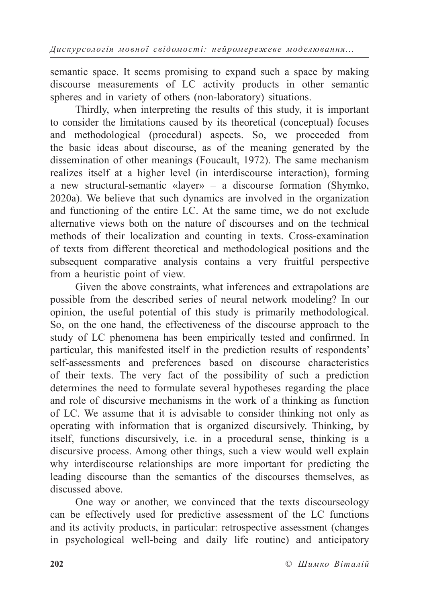semantic space. It seems promising to expand such a space by making discourse measurements of LC activity products in other semantic spheres and in variety of others (non-laboratory) situations.

Thirdly, when interpreting the results of this study, it is important to consider the limitations caused by its theoretical (conceptual) focuses and methodological (procedural) aspects. So, we proceeded from the basic ideas about discourse, as of the meaning generated by the dissemination of other meanings (Foucault, 1972). The same mechanism realizes itself at a higher level (in interdiscourse interaction), forming a new structural-semantic «layer» – a discourse formation (Shymko, 2020a). We believe that such dynamics are involved in the organization and functioning of the entire LC. At the same time, we do not exclude alternative views both on the nature of discourses and on the technical methods of their localization and counting in texts. Cross-examination of texts from different theoretical and methodological positions and the subsequent comparative analysis contains a very fruitful perspective from a heuristic point of view.

Given the above constraints, what inferences and extrapolations are possible from the described series of neural network modeling? In our opinion, the useful potential of this study is primarily methodological. So, on the one hand, the effectiveness of the discourse approach to the study of LC phenomena has been empirically tested and confirmed. In particular, this manifested itself in the prediction results of respondents' self-assessments and preferences based on discourse characteristics of their texts. The very fact of the possibility of such a prediction determines the need to formulate several hypotheses regarding the place and role of discursive mechanisms in the work of a thinking as function of LC. We assume that it is advisable to consider thinking not only as operating with information that is organized discursively. Thinking, by itself, functions discursively, i.e. in a procedural sense, thinking is a discursive process. Among other things, such a view would well explain why interdiscourse relationships are more important for predicting the leading discourse than the semantics of the discourses themselves, as discussed above.

One way or another, we convinced that the texts discourseology can be effectively used for predictive assessment of the LC functions and its activity products, in particular: retrospective assessment (changes in psychological well-being and daily life routine) and anticipatory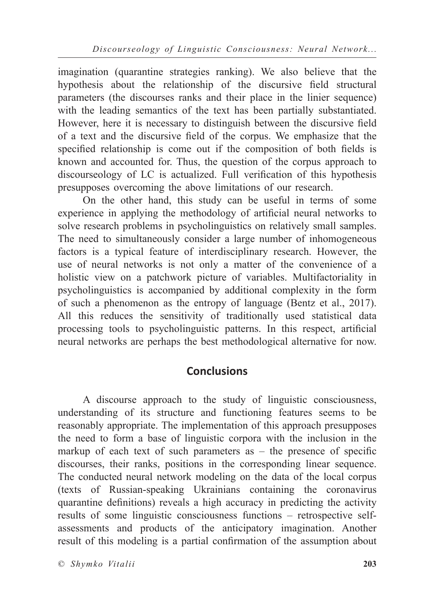imagination (quarantine strategies ranking). We also believe that the hypothesis about the relationship of the discursive field structural parameters (the discourses ranks and their place in the linier sequence) with the leading semantics of the text has been partially substantiated. However, here it is necessary to distinguish between the discursive field of a text and the discursive field of the corpus. We emphasize that the specified relationship is come out if the composition of both fields is known and accounted for. Thus, the question of the corpus approach to discourseology of LC is actualized. Full verification of this hypothesis presupposes overcoming the above limitations of our research.

On the other hand, this study can be useful in terms of some experience in applying the methodology of artificial neural networks to solve research problems in psycholinguistics on relatively small samples. The need to simultaneously consider a large number of inhomogeneous factors is a typical feature of interdisciplinary research. However, the use of neural networks is not only a matter of the convenience of a holistic view on a patchwork picture of variables. Multifactoriality in psycholinguistics is accompanied by additional complexity in the form of such a phenomenon as the entropy of language (Bentz et al., 2017). All this reduces the sensitivity of traditionally used statistical data processing tools to psycholinguistic patterns. In this respect, artificial neural networks are perhaps the best methodological alternative for now.

## **Conclusions**

A discourse approach to the study of linguistic consciousness, understanding of its structure and functioning features seems to be reasonably appropriate. The implementation of this approach presupposes the need to form a base of linguistic corpora with the inclusion in the markup of each text of such parameters as  $-$  the presence of specific discourses, their ranks, positions in the corresponding linear sequence. The conducted neural network modeling on the data of the local corpus (texts of Russian-speaking Ukrainians containing the coronavirus quarantine definitions) reveals a high accuracy in predicting the activity results of some linguistic consciousness functions – retrospective selfassessments and products of the anticipatory imagination. Another result of this modeling is a partial confirmation of the assumption about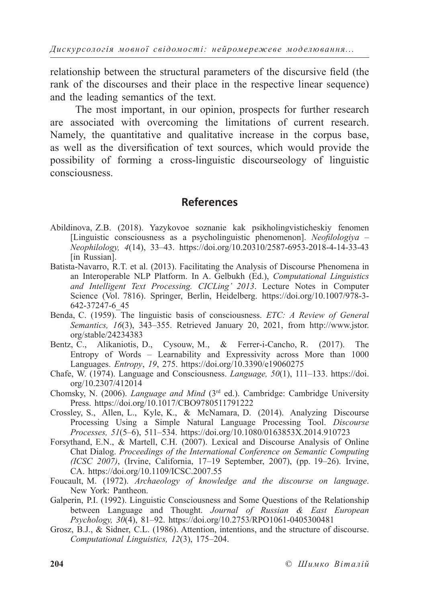relationship between the structural parameters of the discursive field (the rank of the discourses and their place in the respective linear sequence) and the leading semantics of the text.

The most important, in our opinion, prospects for further research are associated with overcoming the limitations of current research. Namely, the quantitative and qualitative increase in the corpus base, as well as the diversification of text sources, which would provide the possibility of forming a cross-linguistic discourseology of linguistic consciousness.

### **References**

- Abildinova, Z.B. (2018). Yazykovoe soznanie kak psikholingvisticheskiy fenomen [Linguistic consciousness as a psycholinguistic phenomenon]. *Neofilologiya – Neophilology, 4*(14), 33–43. https://doi.org/10.20310/2587-6953-2018-4-14-33-43 [in Russian].
- Batista-Navarro, R.T. et al. (2013). Facilitating the Analysis of Discourse Phenomena in an Interoperable NLP Platform. In A. Gelbukh (Ed.), *Computational Linguistics and Intelligent Text Processing. CICLing' 2013*. Lecture Notes in Computer Science (Vol. 7816). Springer, Berlin, Heidelberg. https://doi.org/10.1007/978-3- 642-37247-6\_45
- Benda, C. (1959). The linguistic basis of consciousness. *ETC: A Review of General Semantics, 16*(3), 343–355. Retrieved January 20, 2021, from http://www.jstor. org/stable/24234383
- Bentz, C., Alikaniotis, D., Cysouw, M., & Ferrer-i-Cancho, R. (2017). The Entropy of Words *–* Learnability and Expressivity across More than 1000 Languages. *Entropy*, *19*, 275. https://doi.org/10.3390/e19060275
- Chafe, W. (1974). Language and Consciousness. *Language, 50*(1), 111*–*133. https://doi. org/10.2307/412014
- Chomsky, N. (2006). *Language and Mind* (3rd ed.). Cambridge: Cambridge University Press. https://doi.org/10.1017/CBO9780511791222
- Crossley, S., Allen, L., Kyle, K., & McNamara, D. (2014). Analyzing Discourse Processing Using a Simple Natural Language Processing Tool. *Discourse Processes, 51*(5*–*6), 511*–*534. https://doi.org/10.1080/0163853X.2014.910723
- Forsythand, E.N., & Martell, C.H. (2007). Lexical and Discourse Analysis of Online Chat Dialog. *Proceedings of the International Conference on Semantic Computing (ICSC 2007)*, (Irvine, California, 17–19 September, 2007), (pp. 19*–*26). Irvine, CA. https://doi.org/10.1109/ICSC.2007.55
- Foucault, M. (1972). *Archaeology of knowledge and the discourse on language*. New York: Pantheon.
- Galperin, P.I. (1992). Linguistic Consciousness and Some Questions of the Relationship between Language and Thought. *Journal of Russian & East European Psychology, 30*(4), 81*–*92. https://doi.org/10.2753/RPO1061-0405300481
- Grosz, B.J., & Sidner, C.L. (1986). Attention, intentions, and the structure of discourse. *Computational Linguistics, 12*(3), 175*–*204.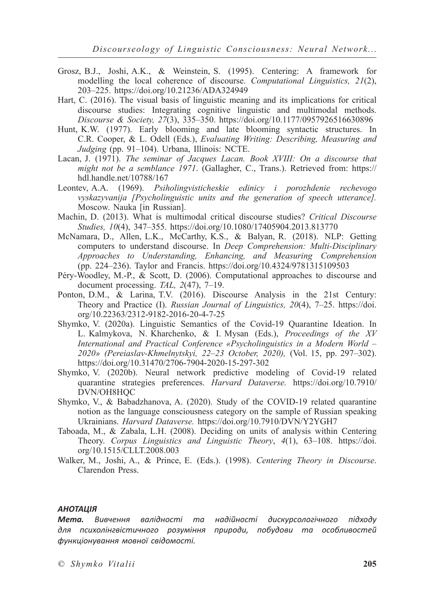- Grosz, B.J., Joshi, A.K., & Weinstein, S. (1995). Centering: A framework for modelling the local coherence of discourse. *Computational Linguistics, 21*(2), 203*–*225. https://doi.org/10.21236/ADA324949
- Hart, C. (2016). The visual basis of linguistic meaning and its implications for critical discourse studies: Integrating cognitive linguistic and multimodal methods. *Discourse & Society, 27*(3), 335*–*350. https://doi.org/10.1177/0957926516630896
- Hunt, K.W. (1977). Early blooming and late blooming syntactic structures. In C.R. Cooper, & L. Odell (Eds.), *Evaluating Writing: Describing, Measuring and Judging* (pp. 91*–*104). Urbana, Illinois: NCTE.
- Lacan, J. (1971). *The seminar of Jacques Lacan. Book XVIII: On a discourse that might not be a semblance 1971*. (Gallagher, C., Trans.). Retrieved from: https:// hdl.handle.net/10788/167
- Leontev, A.A. (1969). *Psiholingvisticheskie edinicy i porozhdenie rechevogo vyskazyvanija [Psycholinguistic units and the generation of speech utterance].* Moscow. Nauka [in Russian].
- Machin, D. (2013). What is multimodal critical discourse studies? *Critical Discourse Studies, 10*(4), 347*–*355. https://doi.org/10.1080/17405904.2013.813770
- McNamara, D., Allen, L.K., McCarthy, K.S., & Balyan, R. (2018). NLP: Getting computers to understand discourse. In *Deep Comprehension: Multi-Disciplinary Approaches to Understanding, Enhancing, and Measuring Comprehension*  (pp. 224*–*236). Taylor and Francis. https://doi.org/10.4324/9781315109503
- Péry-Woodley, M.-P., & Scott, D. (2006). Computational approaches to discourse and document processing. *TAL, 2*(47), 7–19.
- Ponton, D.M., & Larina, T.V. (2016). Discourse Analysis in the 21st Century: Theory and Practice (I). *Russian Journal of Linguistics, 20*(4), 7–25. https://doi. org/10.22363/2312-9182-2016-20-4-7-25
- Shymko, V. (2020a). Linguistic Semantics of the Covid-19 Quarantine Ideation. In L. Kalmykova, N. Kharchenko, & I. Mysan (Eds.), *Proceedings of the XV International and Practical Conference «Psycholinguistics in a Modern World – 2020» (Pereiaslav-Khmelnytskyi, 22–23 October, 2020),* (Vol. 15, pp. 297–302). https://doi.org/10.31470/2706-7904-2020-15-297-302
- Shymko, V. (2020b). Neural network predictive modeling of Covid-19 related quarantine strategies preferences. *Harvard Dataverse.* https://doi.org/10.7910/ DVN/OH8HQC
- Shymko, V., & Babadzhanova, A. (2020). Study of the COVID-19 related quarantine notion as the language consciousness category on the sample of Russian speaking Ukrainians. *Harvard Dataverse.* https://doi.org/10.7910/DVN/Y2YGH7
- Taboada, M., & Zabala, L.H. (2008). Deciding on units of analysis within Centering Theory. *Corpus Linguistics and Linguistic Theory*, *4*(1), 63–108. https://doi. org/10.1515/CLLT.2008.003
- Walker, M., Joshi, A., & Prince, E. (Eds.). (1998). *Centering Theory in Discourse*. Clarendon Press.

#### *АНОТАЦІЯ*

*Мета. Вивчення валідності та надійності дискурсологічного підходу для психолінгвістичного розуміння природи, побудови та особливостей функціонування мовної свідомості.*

*© Shymko Vitalii* **205**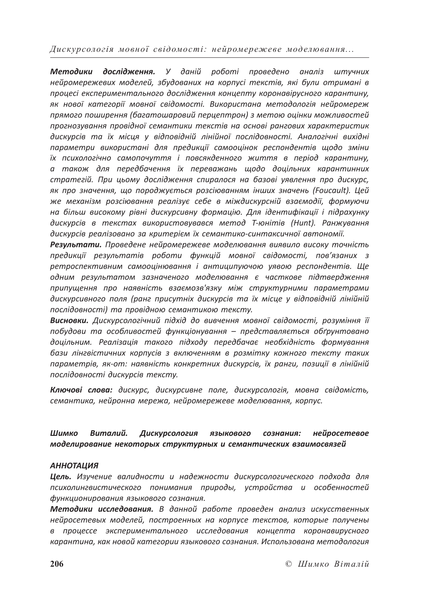*Методики дослідження. У даній роботі проведено аналіз штучних нейромережевих моделей, збудованих на корпусі текстів, які були отримані в процесі експериментального дослідження концепту коронавірусного карантину, як нової категорії мовної свідомості. Використана методологія нейромереж прямого поширення (багатошаровий перцептрон) з метою оцінки можливостей прогнозування провідної семантики текстів на основі рангових характеристик дискурсів та їх місця у відповідній лінійної послідовності. Аналогічні вихідні параметри використані для предикції самооцінок респондентів щодо зміни їх психологічно самопочуття і повсякденного життя в період карантину, а також для передбачення їх переважань щодо доцільних карантинних стратегій. При цьому дослідження спиралося на базові уявлення про дискурс, як про значення, що породжується розсіюванням інших значень (Foucault). Цей же механізм розсіювання реалізує себе в міждискурсній взаємодії, формуючи на більш високому рівні дискурсивну формацію. Для ідентифікації і підрахунку дискурсів в текстах використовувався метод Т-юнітів (Hunt). Ранжування дискурсів реалізовано за критерієм їх семантико-синтаксичної автономії.*

*Результати. Проведене нейромережеве моделювання виявило високу точність предикції результатів роботи функцій мовної свідомості, пов'язаних з ретроспективним самооцінювання і антиципуючою уявою респондентів. Ще одним результатом зазначеного моделювання є часткове підтвердження припущення про наявність взаємозв'язку між структурними параметрами дискурсивного поля (ранг присутніх дискурсів та їх місце у відповідній лінійній послідовності) та провідною семантикою тексту.*

*Висновки. Дискурсологічний підхід до вивчення мовної свідомості, розуміння її побудови та особливостей функціонування – представляється обґрунтовано доцільним. Реалізація такого підходу передбачає необхідність формування бази лінгвістичних корпусів з включенням в розмітку кожного тексту таких параметрів, як-от: наявність конкретних дискурсів, їх ранги, позиції в лінійній послідовності дискурсів тексту.*

*Ключові слова: дискурс, дискурсивне поле, дискурсологія, мовна свідомість, семантика, нейронна мережа, нейромережеве моделювання, корпус.*

### *Шимко Виталий. Дискурсология языкового сознания: нейросетевое моделирование некоторых структурных и семантических взаимосвязей*

#### *АННОТАЦИЯ*

*Цель. Изучение валидности и надежности дискурсологического подхода для психолингвистического понимания природы, устройства и особенностей функционирования языкового сознания.*

*Методики исследования. В данной работе проведен анализ искусственных нейросетевых моделей, построенных на корпусе текстов, которые получены в процессе экспериментального исследования концепта коронавирусного карантина, как новой категории языкового сознания. Использована методология*